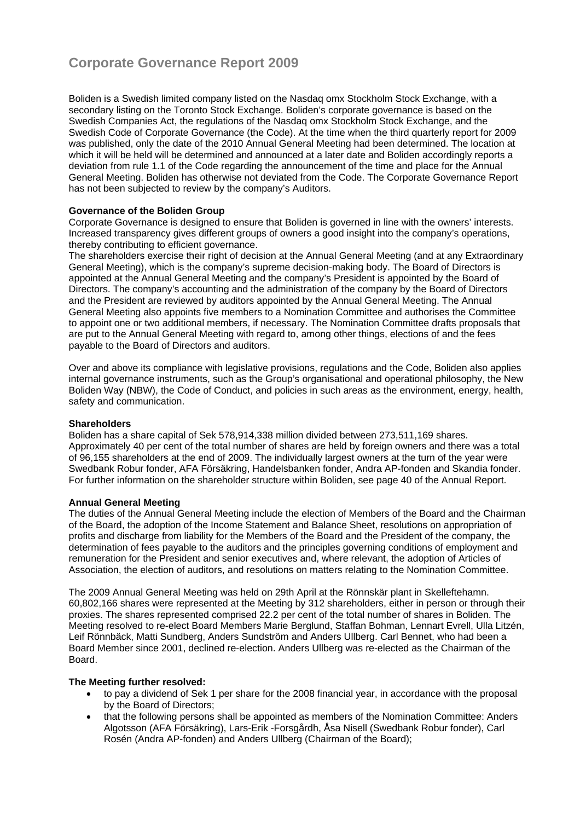# **Corporate Governance Report 2009**

Boliden is a Swedish limited company listed on the Nasdaq omx Stockholm Stock Exchange, with a secondary listing on the Toronto Stock Exchange. Boliden's corporate governance is based on the Swedish Companies Act, the regulations of the Nasdaq omx Stockholm Stock Exchange, and the Swedish Code of Corporate Governance (the Code). At the time when the third quarterly report for 2009 was published, only the date of the 2010 Annual General Meeting had been determined. The location at which it will be held will be determined and announced at a later date and Boliden accordingly reports a deviation from rule 1.1 of the Code regarding the announcement of the time and place for the Annual General Meeting. Boliden has otherwise not deviated from the Code. The Corporate Governance Report has not been subjected to review by the company's Auditors.

## **Governance of the Boliden Group**

Corporate Governance is designed to ensure that Boliden is governed in line with the owners' interests. Increased transparency gives different groups of owners a good insight into the company's operations, thereby contributing to efficient governance.

The shareholders exercise their right of decision at the Annual General Meeting (and at any Extraordinary General Meeting), which is the company's supreme decision-making body. The Board of Directors is appointed at the Annual General Meeting and the company's President is appointed by the Board of Directors. The company's accounting and the administration of the company by the Board of Directors and the President are reviewed by auditors appointed by the Annual General Meeting. The Annual General Meeting also appoints five members to a Nomination Committee and authorises the Committee to appoint one or two additional members, if necessary. The Nomination Committee drafts proposals that are put to the Annual General Meeting with regard to, among other things, elections of and the fees payable to the Board of Directors and auditors.

Over and above its compliance with legislative provisions, regulations and the Code, Boliden also applies internal governance instruments, such as the Group's organisational and operational philosophy, the New Boliden Way (NBW), the Code of Conduct, and policies in such areas as the environment, energy, health, safety and communication.

## **Shareholders**

Boliden has a share capital of Sek 578,914,338 million divided between 273,511,169 shares. Approximately 40 per cent of the total number of shares are held by foreign owners and there was a total of 96,155 shareholders at the end of 2009. The individually largest owners at the turn of the year were Swedbank Robur fonder, AFA Försäkring, Handelsbanken fonder, Andra AP-fonden and Skandia fonder. For further information on the shareholder structure within Boliden, see page 40 of the Annual Report.

## **Annual General Meeting**

The duties of the Annual General Meeting include the election of Members of the Board and the Chairman of the Board, the adoption of the Income Statement and Balance Sheet, resolutions on appropriation of profits and discharge from liability for the Members of the Board and the President of the company, the determination of fees payable to the auditors and the principles governing conditions of employment and remuneration for the President and senior executives and, where relevant, the adoption of Articles of Association, the election of auditors, and resolutions on matters relating to the Nomination Committee.

The 2009 Annual General Meeting was held on 29th April at the Rönnskär plant in Skelleftehamn. 60,802,166 shares were represented at the Meeting by 312 shareholders, either in person or through their proxies. The shares represented comprised 22.2 per cent of the total number of shares in Boliden. The Meeting resolved to re-elect Board Members Marie Berglund, Staffan Bohman, Lennart Evrell, Ulla Litzén, Leif Rönnbäck, Matti Sundberg, Anders Sundström and Anders Ullberg. Carl Bennet, who had been a Board Member since 2001, declined re-election. Anders Ullberg was re-elected as the Chairman of the Board.

## **The Meeting further resolved:**

- to pay a dividend of Sek 1 per share for the 2008 financial year, in accordance with the proposal by the Board of Directors;
- that the following persons shall be appointed as members of the Nomination Committee: Anders Algotsson (AFA Försäkring), Lars-Erik -Forsgårdh, Åsa Nisell (Swedbank Robur fonder), Carl Rosén (Andra AP-fonden) and Anders Ullberg (Chairman of the Board);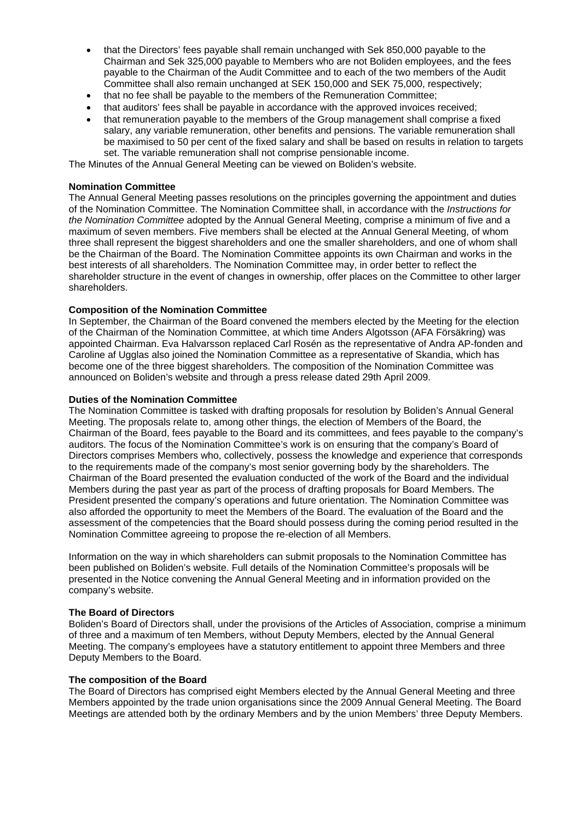- that the Directors' fees payable shall remain unchanged with Sek 850,000 payable to the Chairman and Sek 325,000 payable to Members who are not Boliden employees, and the fees payable to the Chairman of the Audit Committee and to each of the two members of the Audit Committee shall also remain unchanged at SEK 150,000 and SEK 75,000, respectively;
- that no fee shall be payable to the members of the Remuneration Committee;
- that auditors' fees shall be payable in accordance with the approved invoices received;
- that remuneration payable to the members of the Group management shall comprise a fixed salary, any variable remuneration, other benefits and pensions. The variable remuneration shall be maximised to 50 per cent of the fixed salary and shall be based on results in relation to targets set. The variable remuneration shall not comprise pensionable income.

The Minutes of the Annual General Meeting can be viewed on Boliden's website.

## **Nomination Committee**

The Annual General Meeting passes resolutions on the principles governing the appointment and duties of the Nomination Committee. The Nomination Committee shall, in accordance with the *Instructions for the Nomination Committee* adopted by the Annual General Meeting, comprise a minimum of five and a maximum of seven members. Five members shall be elected at the Annual General Meeting, of whom three shall represent the biggest shareholders and one the smaller shareholders, and one of whom shall be the Chairman of the Board. The Nomination Committee appoints its own Chairman and works in the best interests of all shareholders. The Nomination Committee may, in order better to reflect the shareholder structure in the event of changes in ownership, offer places on the Committee to other larger shareholders.

## **Composition of the Nomination Committee**

In September, the Chairman of the Board convened the members elected by the Meeting for the election of the Chairman of the Nomination Committee, at which time Anders Algotsson (AFA Försäkring) was appointed Chairman. Eva Halvarsson replaced Carl Rosén as the representative of Andra AP-fonden and Caroline af Ugglas also joined the Nomination Committee as a representative of Skandia, which has become one of the three biggest shareholders. The composition of the Nomination Committee was announced on Boliden's website and through a press release dated 29th April 2009.

#### **Duties of the Nomination Committee**

The Nomination Committee is tasked with drafting proposals for resolution by Boliden's Annual General Meeting. The proposals relate to, among other things, the election of Members of the Board, the Chairman of the Board, fees payable to the Board and its committees, and fees payable to the company's auditors. The focus of the Nomination Committee's work is on ensuring that the company's Board of Directors comprises Members who, collectively, possess the knowledge and experience that corresponds to the requirements made of the company's most senior governing body by the shareholders. The Chairman of the Board presented the evaluation conducted of the work of the Board and the individual Members during the past year as part of the process of drafting proposals for Board Members. The President presented the company's operations and future orientation. The Nomination Committee was also afforded the opportunity to meet the Members of the Board. The evaluation of the Board and the assessment of the competencies that the Board should possess during the coming period resulted in the Nomination Committee agreeing to propose the re-election of all Members.

Information on the way in which shareholders can submit proposals to the Nomination Committee has been published on Boliden's website. Full details of the Nomination Committee's proposals will be presented in the Notice convening the Annual General Meeting and in information provided on the company's website.

#### **The Board of Directors**

Boliden's Board of Directors shall, under the provisions of the Articles of Association, comprise a minimum of three and a maximum of ten Members, without Deputy Members, elected by the Annual General Meeting. The company's employees have a statutory entitlement to appoint three Members and three Deputy Members to the Board.

#### **The composition of the Board**

The Board of Directors has comprised eight Members elected by the Annual General Meeting and three Members appointed by the trade union organisations since the 2009 Annual General Meeting. The Board Meetings are attended both by the ordinary Members and by the union Members' three Deputy Members.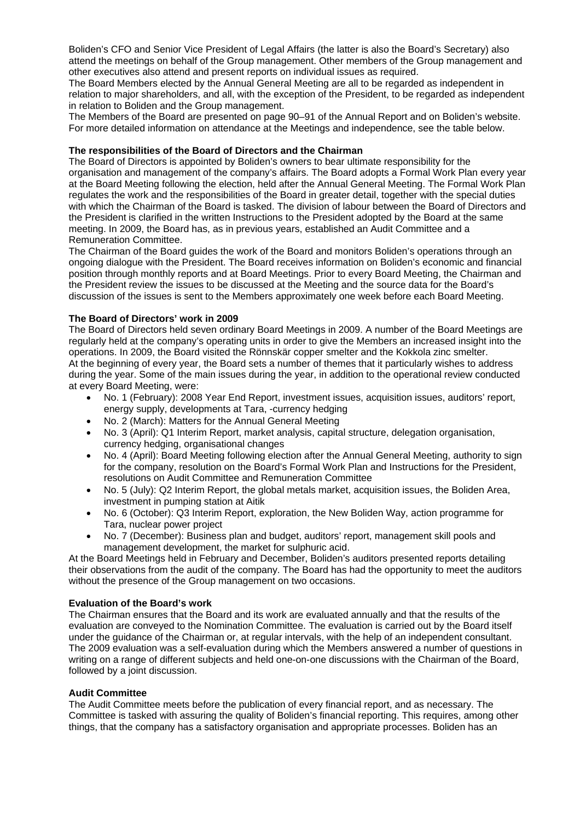Boliden's CFO and Senior Vice President of Legal Affairs (the latter is also the Board's Secretary) also attend the meetings on behalf of the Group management. Other members of the Group management and other executives also attend and present reports on individual issues as required.

The Board Members elected by the Annual General Meeting are all to be regarded as independent in relation to major shareholders, and all, with the exception of the President, to be regarded as independent in relation to Boliden and the Group management.

The Members of the Board are presented on page 90–91 of the Annual Report and on Boliden's website. For more detailed information on attendance at the Meetings and independence, see the table below.

#### **The responsibilities of the Board of Directors and the Chairman**

The Board of Directors is appointed by Boliden's owners to bear ultimate responsibility for the organisation and management of the company's affairs. The Board adopts a Formal Work Plan every year at the Board Meeting following the election, held after the Annual General Meeting. The Formal Work Plan regulates the work and the responsibilities of the Board in greater detail, together with the special duties with which the Chairman of the Board is tasked. The division of labour between the Board of Directors and the President is clarified in the written Instructions to the President adopted by the Board at the same meeting. In 2009, the Board has, as in previous years, established an Audit Committee and a Remuneration Committee.

The Chairman of the Board guides the work of the Board and monitors Boliden's operations through an ongoing dialogue with the President. The Board receives information on Boliden's economic and financial position through monthly reports and at Board Meetings. Prior to every Board Meeting, the Chairman and the President review the issues to be discussed at the Meeting and the source data for the Board's discussion of the issues is sent to the Members approximately one week before each Board Meeting.

# **The Board of Directors' work in 2009**

The Board of Directors held seven ordinary Board Meetings in 2009. A number of the Board Meetings are regularly held at the company's operating units in order to give the Members an increased insight into the operations. In 2009, the Board visited the Rönnskär copper smelter and the Kokkola zinc smelter. At the beginning of every year, the Board sets a number of themes that it particularly wishes to address during the year. Some of the main issues during the year, in addition to the operational review conducted at every Board Meeting, were:

- No. 1 (February): 2008 Year End Report, investment issues, acquisition issues, auditors' report, energy supply, developments at Tara, -currency hedging
- No. 2 (March): Matters for the Annual General Meeting
- No. 3 (April): Q1 Interim Report, market analysis, capital structure, delegation organisation, currency hedging, organisational changes
- No. 4 (April): Board Meeting following election after the Annual General Meeting, authority to sign for the company, resolution on the Board's Formal Work Plan and Instructions for the President, resolutions on Audit Committee and Remuneration Committee
- No. 5 (July): Q2 Interim Report, the global metals market, acquisition issues, the Boliden Area, investment in pumping station at Aitik
- No. 6 (October): Q3 Interim Report, exploration, the New Boliden Way, action programme for Tara, nuclear power project
- No. 7 (December): Business plan and budget, auditors' report, management skill pools and management development, the market for sulphuric acid.

At the Board Meetings held in February and December, Boliden's auditors presented reports detailing their observations from the audit of the company. The Board has had the opportunity to meet the auditors without the presence of the Group management on two occasions.

#### **Evaluation of the Board's work**

The Chairman ensures that the Board and its work are evaluated annually and that the results of the evaluation are conveyed to the Nomination Committee. The evaluation is carried out by the Board itself under the guidance of the Chairman or, at regular intervals, with the help of an independent consultant. The 2009 evaluation was a self-evaluation during which the Members answered a number of questions in writing on a range of different subjects and held one-on-one discussions with the Chairman of the Board, followed by a joint discussion.

#### **Audit Committee**

The Audit Committee meets before the publication of every financial report, and as necessary. The Committee is tasked with assuring the quality of Boliden's financial reporting. This requires, among other things, that the company has a satisfactory organisation and appropriate processes. Boliden has an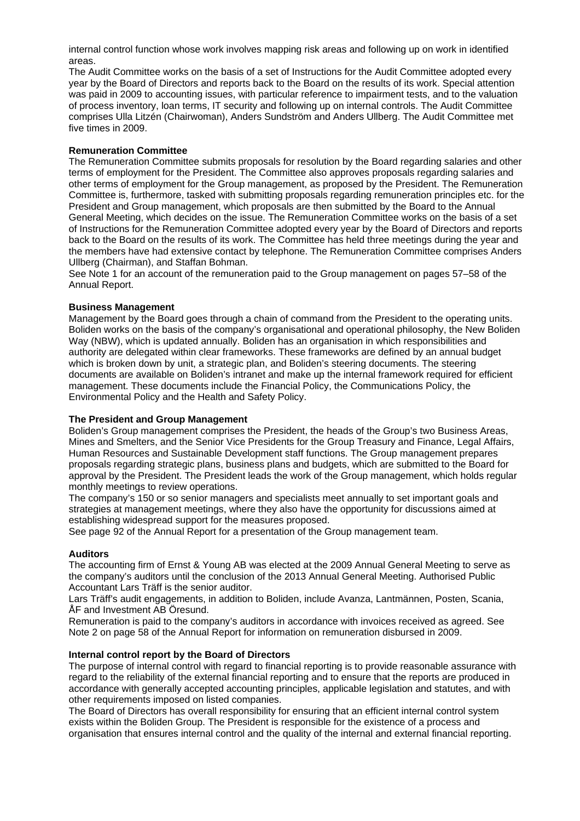internal control function whose work involves mapping risk areas and following up on work in identified areas.

The Audit Committee works on the basis of a set of Instructions for the Audit Committee adopted every year by the Board of Directors and reports back to the Board on the results of its work. Special attention was paid in 2009 to accounting issues, with particular reference to impairment tests, and to the valuation of process inventory, loan terms, IT security and following up on internal controls. The Audit Committee comprises Ulla Litzén (Chairwoman), Anders Sundström and Anders Ullberg. The Audit Committee met five times in 2009.

## **Remuneration Committee**

The Remuneration Committee submits proposals for resolution by the Board regarding salaries and other terms of employment for the President. The Committee also approves proposals regarding salaries and other terms of employment for the Group management, as proposed by the President. The Remuneration Committee is, furthermore, tasked with submitting proposals regarding remuneration principles etc. for the President and Group management, which proposals are then submitted by the Board to the Annual General Meeting, which decides on the issue. The Remuneration Committee works on the basis of a set of Instructions for the Remuneration Committee adopted every year by the Board of Directors and reports back to the Board on the results of its work. The Committee has held three meetings during the year and the members have had extensive contact by telephone. The Remuneration Committee comprises Anders Ullberg (Chairman), and Staffan Bohman.

See Note 1 for an account of the remuneration paid to the Group management on pages 57–58 of the Annual Report.

#### **Business Management**

Management by the Board goes through a chain of command from the President to the operating units. Boliden works on the basis of the company's organisational and operational philosophy, the New Boliden Way (NBW), which is updated annually. Boliden has an organisation in which responsibilities and authority are delegated within clear frameworks. These frameworks are defined by an annual budget which is broken down by unit, a strategic plan, and Boliden's steering documents. The steering documents are available on Boliden's intranet and make up the internal framework required for efficient management. These documents include the Financial Policy, the Communications Policy, the Environmental Policy and the Health and Safety Policy.

#### **The President and Group Management**

Boliden's Group management comprises the President, the heads of the Group's two Business Areas, Mines and Smelters, and the Senior Vice Presidents for the Group Treasury and Finance, Legal Affairs, Human Resources and Sustainable Development staff functions. The Group management prepares proposals regarding strategic plans, business plans and budgets, which are submitted to the Board for approval by the President. The President leads the work of the Group management, which holds regular monthly meetings to review operations.

The company's 150 or so senior managers and specialists meet annually to set important goals and strategies at management meetings, where they also have the opportunity for discussions aimed at establishing widespread support for the measures proposed.

See page 92 of the Annual Report for a presentation of the Group management team.

#### **Auditors**

The accounting firm of Ernst & Young AB was elected at the 2009 Annual General Meeting to serve as the company's auditors until the conclusion of the 2013 Annual General Meeting. Authorised Public Accountant Lars Träff is the senior auditor.

Lars Träff's audit engagements, in addition to Boliden, include Avanza, Lantmännen, Posten, Scania, ÅF and Investment AB Öresund.

Remuneration is paid to the company's auditors in accordance with invoices received as agreed. See Note 2 on page 58 of the Annual Report for information on remuneration disbursed in 2009.

## **Internal control report by the Board of Directors**

The purpose of internal control with regard to financial reporting is to provide reasonable assurance with regard to the reliability of the external financial reporting and to ensure that the reports are produced in accordance with generally accepted accounting principles, applicable legislation and statutes, and with other requirements imposed on listed companies.

The Board of Directors has overall responsibility for ensuring that an efficient internal control system exists within the Boliden Group. The President is responsible for the existence of a process and organisation that ensures internal control and the quality of the internal and external financial reporting.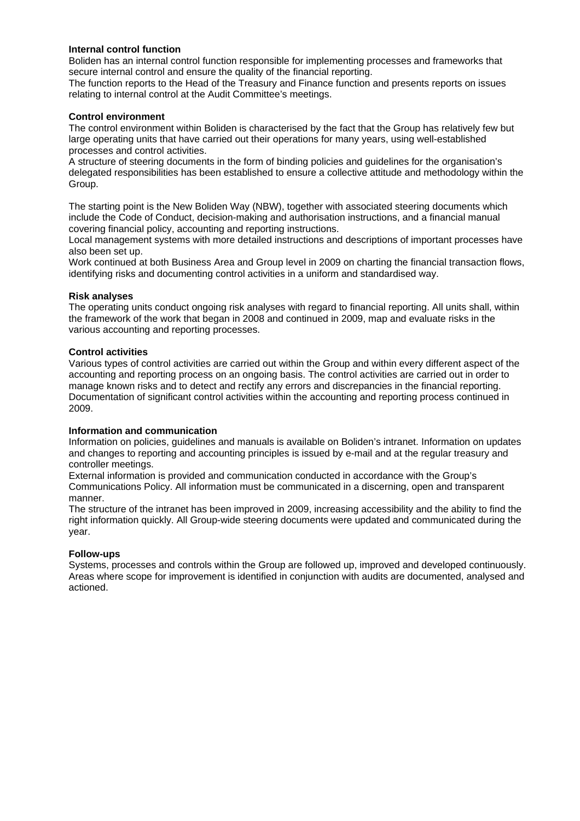## **Internal control function**

Boliden has an internal control function responsible for implementing processes and frameworks that secure internal control and ensure the quality of the financial reporting.

The function reports to the Head of the Treasury and Finance function and presents reports on issues relating to internal control at the Audit Committee's meetings.

## **Control environment**

The control environment within Boliden is characterised by the fact that the Group has relatively few but large operating units that have carried out their operations for many years, using well-established processes and control activities.

A structure of steering documents in the form of binding policies and guidelines for the organisation's delegated responsibilities has been established to ensure a collective attitude and methodology within the Group.

The starting point is the New Boliden Way (NBW), together with associated steering documents which include the Code of Conduct, decision-making and authorisation instructions, and a financial manual covering financial policy, accounting and reporting instructions.

Local management systems with more detailed instructions and descriptions of important processes have also been set up.

Work continued at both Business Area and Group level in 2009 on charting the financial transaction flows, identifying risks and documenting control activities in a uniform and standardised way.

## **Risk analyses**

The operating units conduct ongoing risk analyses with regard to financial reporting. All units shall, within the framework of the work that began in 2008 and continued in 2009, map and evaluate risks in the various accounting and reporting processes.

## **Control activities**

Various types of control activities are carried out within the Group and within every different aspect of the accounting and reporting process on an ongoing basis. The control activities are carried out in order to manage known risks and to detect and rectify any errors and discrepancies in the financial reporting. Documentation of significant control activities within the accounting and reporting process continued in 2009.

#### **Information and communication**

Information on policies, guidelines and manuals is available on Boliden's intranet. Information on updates and changes to reporting and accounting principles is issued by e-mail and at the regular treasury and controller meetings.

External information is provided and communication conducted in accordance with the Group's Communications Policy. All information must be communicated in a discerning, open and transparent manner.

The structure of the intranet has been improved in 2009, increasing accessibility and the ability to find the right information quickly. All Group-wide steering documents were updated and communicated during the year.

#### **Follow-ups**

Systems, processes and controls within the Group are followed up, improved and developed continuously. Areas where scope for improvement is identified in conjunction with audits are documented, analysed and actioned.